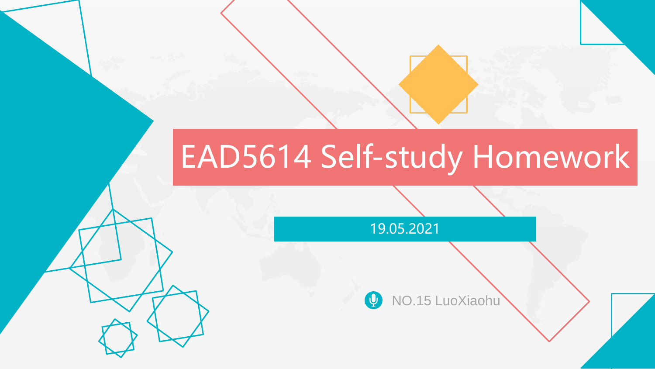# EAD5614 Self-study Homework

19.05.2021

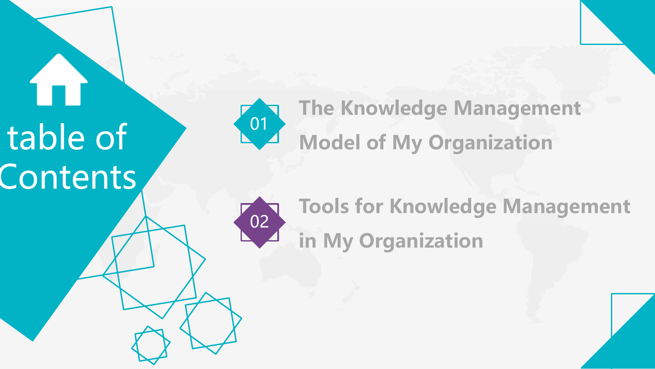table of **Contents** 



 $\overline{0}$ 

**Tools for Knowledge Management in My Organization**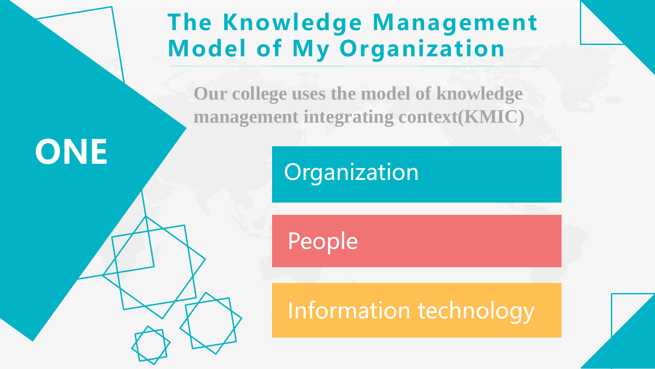## **The Knowledge Management Model of My Organization**

**Our college uses the model of knowledge management integrating context(KMIC)**

# **ONE**

**Organization** 

People

Information technology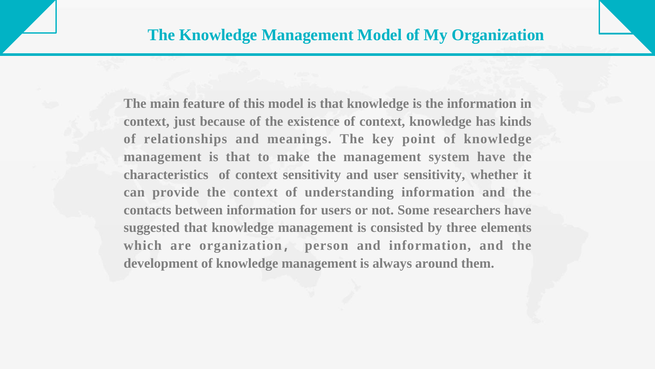**The main feature of this model is that knowledge is the information in context, just because of the existence of context, knowledge has kinds of relationships and meanings. The key point of knowledge management is that to make the management system have the characteristics of context sensitivity and user sensitivity, whether it can provide the context of understanding information and the contacts between information for users or not. Some researchers have suggested that knowledge management is consisted by three elements which are organization, person and information, and the development of knowledge management is always around them.**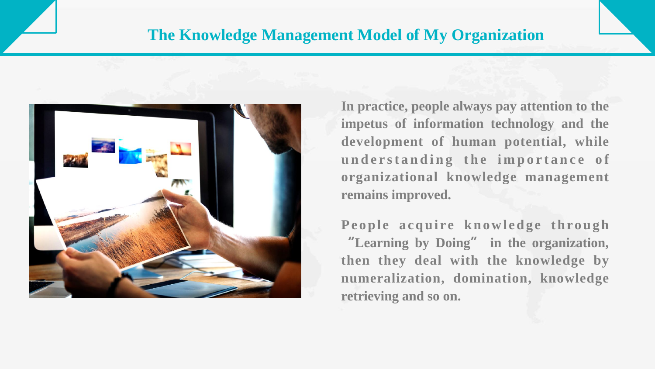#### **The Knowledge Management Model of My Organization**



**In practice, people always pay attention to the impetus of information technology and the development of human potential, while u n d e r s t a n d i n g t h e i m p o r t a n c e o f organizational knowledge management remains improved.**

People acquire knowledge through **"Learning by Doing" in the organization, then they deal with the knowledge by numeralization, domination, knowledge retrieving and so on.**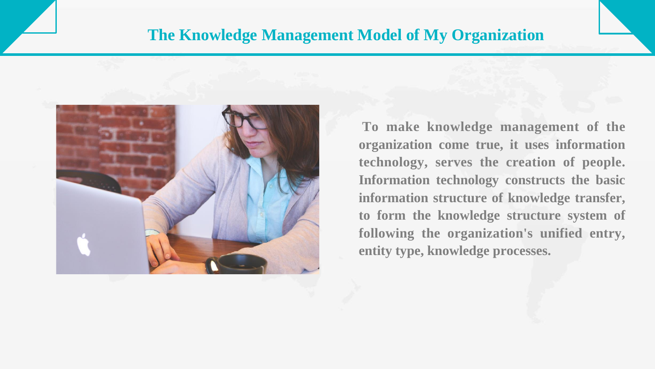#### **The Knowledge Management Model of My Organization**



**To make knowledge management of the organization come true, it uses information technology, serves the creation of people. Information technology constructs the basic information structure of knowledge transfer, to form the knowledge structure system of following the organization's unified entry, entity type, knowledge processes.**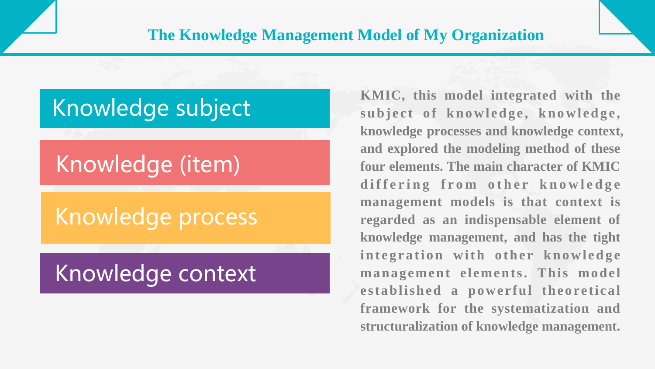### Knowledge subject

## Knowledge (item)

## Knowledge process

## Knowledge context

**KMIC, this model integrated with the s u b j e ct o f k n o w l ed g e , k n o w l ed g e, knowledge processes and knowledge context, and explored the modeling method of these four elements. The main character of KMIC d i f f e r i n g f r o m o t h e r k n o w l e d g e management models is that context is regarded as an indispensable element of knowledge management, and has the tight integration with other knowledge management elements. This model established a powerful theoretical framework for the systematization and structuralization of knowledge management.**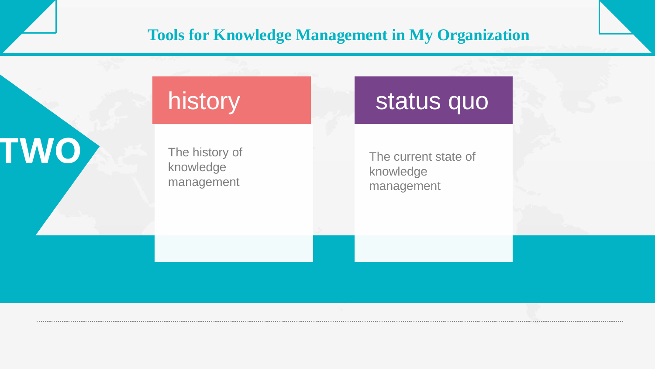#### **Tools for Knowledge Management in My Organization**

## history

The history of knowledge management

**TWO**

The current state of knowledge management

status quo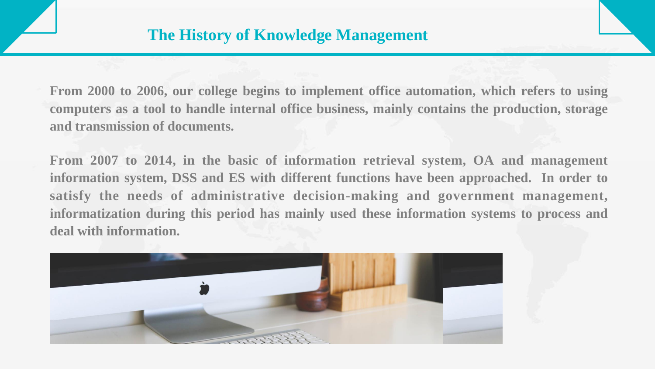**From 2000 to 2006, our college begins to implement office automation, which refers to using computers as a tool to handle internal office business, mainly contains the production, storage and transmission of documents.**

**From 2007 to 2014, in the basic of information retrieval system, OA and management information system, DSS and ES with different functions have been approached. In order to satisfy the needs of administrative decision-making and government management, informatization during this period has mainly used these information systems to process and deal with information.**

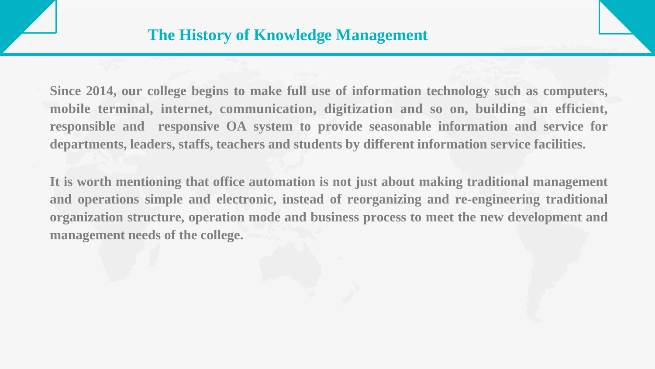**Since 2014, our college begins to make full use of information technology such as computers, mobile terminal, internet, communication, digitization and so on, building an efficient, responsible and responsive OA system to provide seasonable information and service for departments, leaders, staffs, teachers and students by different information service facilities.**

**It is worth mentioning that office automation is not just about making traditional management and operations simple and electronic, instead of reorganizing and re-engineering traditional organization structure, operation mode and business process to meet the new development and management needs of the college.**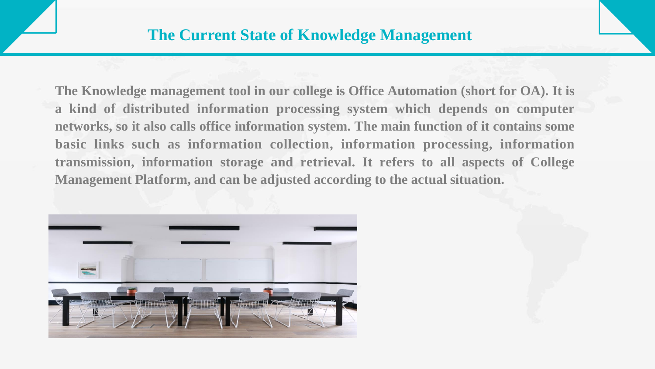**The Knowledge management tool in our college is Office Automation (short for OA). It is a kind of distributed information processing system which depends on computer networks, so it also calls office information system. The main function of it contains some basic links such as information collection, information processing, information transmission, information storage and retrieval. It refers to all aspects of College Management Platform, and can be adjusted according to the actual situation.**

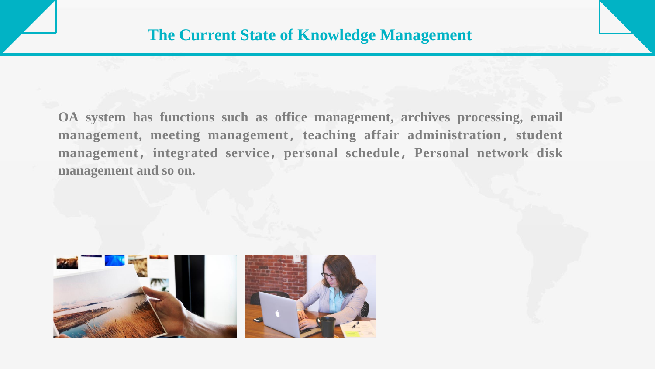**OA system has functions such as office management, archives processing, email management, meeting management,teaching affair administration,student management,integrated service,personal schedule,Personal network disk management and so on.**



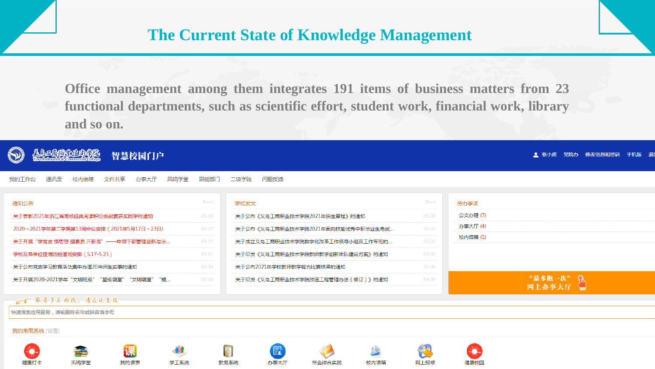**Office management among them integrates 191 items of business matters from 23 functional departments, such as scientific effort, student work, financial work, library and so on.**

| 智慧校园门户                                       |           |                                   |           |         | ● 骆小虎 党院办 修改信息和密码 手机版 退! |
|----------------------------------------------|-----------|-----------------------------------|-----------|---------|--------------------------|
| 我的工作台<br>办事大厅<br>通讯录<br>文件共享<br>凤鸣学堂<br>校内信箱 | 职能部门      | 问题反馈<br>二级学院                      |           |         |                          |
| 通知公告                                         | More      | 学校发文                              | More      | 待办事项    |                          |
| 关于表彰2021年浙江省高校经典阅读积分挑战赛获奖同学的通知               | $05 - 18$ | 关于公布《义乌工商职业技术学院2021年招生章程》的通知      | $05 - 08$ | 公文办理(7) |                          |
| 2020~2021学年第二学期第13周会议安排(2021年5月17日~23日)      | $05 - 17$ | 关于公布《义乌王商职业技术学院2021年面向技能优秀中职毕业生免试 | $05 - 07$ | 办事大厅(4) |                          |
| 关于开展"学党史 悟思想 强素质 开新局"——中层干部管理创新与治            | $05 - 17$ | 关于成立义乌工商职业技术学院数字化改革工作领导小组及工作专班的   | $05 - 07$ | 校内信箱(1) |                          |
| 学校及各单位疫情防控值班安排(5.17-5.23)                    | $05 - 17$ | 关于印发《义乌工商职业技术学院教师教学创新团队建设方案》的通知   | $05 - 06$ |         |                          |
| 关于公布党史学习教育活动集中办理20件师生实事的通知                   | $05 - 14$ | 关于公布2021年学校教师教学能力比赛结果的通知          | $05 - 06$ |         |                          |
| 关于开展2020-2021学年"文明班级""星级寝室""文明寝室"<br>"模…     | $05 - 10$ | 关于印发《义乌工商职业技术学院改造工程管理办法(修订)》的通知   | $04 - 30$ |         | "最多跑一次"<br>网上办事大厅        |
| 16 服务多不好找,请在这里搜                              |           |                                   |           |         |                          |
| 快速搜索应用服务,请输服务名称或拼音首字母                        |           |                                   |           |         |                          |
| 我的常用系统 [设置]                                  |           |                                   |           |         |                          |
| 课                                            |           | T<br>囻                            |           |         |                          |

毕业综合实践

校内信箱

网上报修

健康校园

健康打卡

凤鸣学堂

我的课表

学工系统

教务系统

办事大厅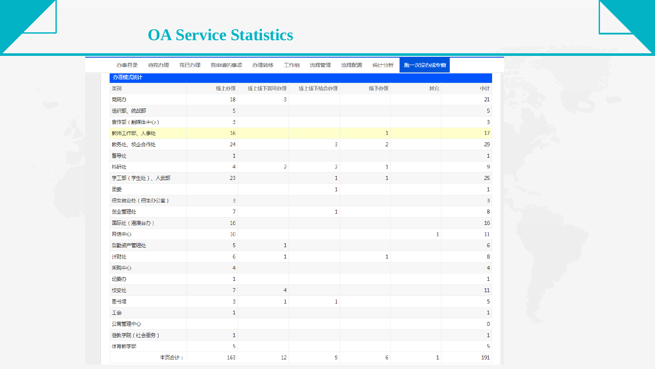#### **OA Service Statistics**

| 办事目录          | 待我办理  | 我已办理 | 我申请的事项         | 办理转移           | 流程管理<br>工作组    | 流程配置<br>统计分析   | 跑一次没办成专窗     |                |
|---------------|-------|------|----------------|----------------|----------------|----------------|--------------|----------------|
| 办理模式统计        |       |      |                |                |                |                |              |                |
| 类别            |       |      | 线上办理           | 线上线下皆可办理       | 线上线下结合办理       | 线下办理           | 期它           | 小计             |
| 党院办           |       |      | 18             | 3              |                |                |              | 21             |
| 组织部、统战部       |       |      | 5              |                |                |                |              | 5              |
| 宣传部 (融媒体中心)   |       |      | 3              |                |                |                |              | 3              |
| 教师工作部、人事处     |       |      | 16             |                |                | $\mathbf 1$    |              | $17$           |
| 教务处、校企合作处     |       |      | 24             |                | 3              | $\overline{2}$ |              | 29             |
| 督导处           |       |      | $\mathbf{1}$   |                |                |                |              | $1\,$          |
| 科研处           |       |      | 4              | $\overline{2}$ | $\overline{2}$ | 1              |              | 9              |
| 学工部 (学生处)、人武部 |       |      | 23             |                | $1\,$          | 1              |              | 25             |
| 团委            |       |      |                |                | $\mathbf 1$    |                |              | $\mathbf{1}$   |
| 招生就业处 (招生办公室) |       |      | 3              |                |                |                |              | $\overline{3}$ |
| 创业管理处         |       |      | $\overline{7}$ |                | $\mathbf 1$    |                |              | 8              |
| 国际处 (港澳台办)    |       |      | 16             |                |                |                |              | 16             |
| 网信中心          |       |      | $10\,$         |                |                |                | $\mathbf{1}$ | 11             |
| 后勤资产管理处       |       |      | 5              | $\mathbf{1}$   |                |                |              | $\sqrt{6}$     |
| 计财处           |       |      | 6              | $\mathbf{1}$   |                | 1              |              | 8              |
| 采购中心          |       |      | 4              |                |                |                |              | $\overline{4}$ |
| 纪委办           |       |      | 1              |                |                |                |              | $\mathbf{1}$   |
| 校安处           |       |      | 7              | $\overline{4}$ |                |                |              | 11             |
| 图书馆           |       |      | 3              | 1              | $\mathbf 1$    |                |              | 5              |
| 工会            |       |      | 1              |                |                |                |              | $\mathbf{1}$   |
| 公寓管理中心        |       |      |                |                |                |                |              | $\pmb{0}$      |
| 继教学院 (社会服务)   |       |      | $\mathbf{1}$   |                |                |                |              | $\mathbf 1$    |
| 体育教学部         |       |      | 5              |                |                |                |              | 5              |
|               | 本页合计: |      | 163            | 12             | 9              | 6              | $\mathbf{1}$ | 191            |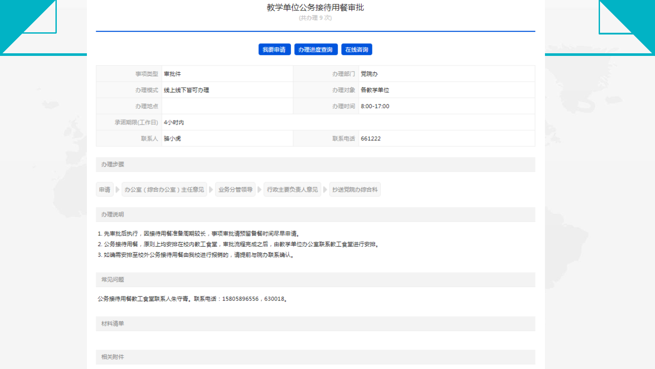教学单位公务接待用餐审批 (共办理9次)

点击输入相关文字标题

在线咨询 我要由请 办理进度查询

| 事项类型 审批件       |               | 办理部门 党院办    |                 |
|----------------|---------------|-------------|-----------------|
|                | 办理模式 线上线下皆可办理 |             | 办理对象 各数学单位      |
| 办理地点           |               |             | 办理时间 8:00-17:00 |
| 承诺期限(工作日) 4小时内 |               |             |                 |
| 联系人 骆小虎        |               | 联系电话 661222 |                 |

办理步骤

申请 | 办公室(综合办公室)主任意见 | 业务分管领导 | 行政主要负责人意见 | 抄送党院办综合科

#### 办理说明

1. 先审批后执行,因接待用餐准备周期较长,事项审批请预留备餐时间尽早申请。 2. 公务接待用餐,原则上均安排在校内教王食堂,审批流程完成之后,由教学单位办公室联系教王食堂进行安排。 3. 如确需安排至校外公务接待用餐由我校进行报销的,请提前与院办联系确认。

常见问题

公务接待用餐教工食堂联系人朱守青。联系电话:15805896556,630018。

材料清单

相关附件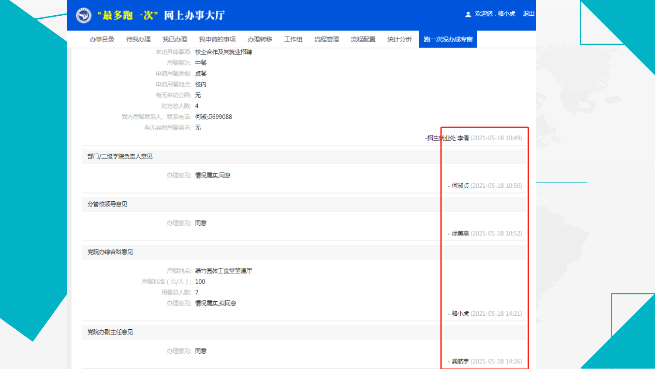#### ◎"最多跑一次"网上办事大厅

|              |                             | 办事目录  待我办理  我已办理  我申请的事项  办理转移  工作组  流程管理  流程配置  统计分析 |  |  | 跑一次没办成专窗 |                             |  |
|--------------|-----------------------------|-------------------------------------------------------|--|--|----------|-----------------------------|--|
|              |                             | 来访具体事项: 校企合作及其就业招聘                                    |  |  |          |                             |  |
|              | 用餐餐次: 中餐                    |                                                       |  |  |          |                             |  |
|              | 申请用餐类型: 桌餐                  |                                                       |  |  |          |                             |  |
|              | 申请用餐地点: 校内                  |                                                       |  |  |          |                             |  |
|              | 有无来访公函: 无                   |                                                       |  |  |          |                             |  |
|              | 对方总人数: 4                    |                                                       |  |  |          |                             |  |
|              |                             | 我方用餐联系人、联系电话: 何淑贞699088                               |  |  |          |                             |  |
|              | 有无其他用餐需求: 无                 |                                                       |  |  |          | -招生就业处李倩 (2021-05-18 10:49) |  |
| 部门/二级学院负责人意见 |                             |                                                       |  |  |          |                             |  |
|              |                             | 办理意见:情况属实,同意                                          |  |  |          | - 何淑贞 (2021-05-18 10:50)    |  |
| 分管校领导意见      |                             |                                                       |  |  |          |                             |  |
|              | 办理意见:同意                     |                                                       |  |  |          | - 徐美燕 (2021-05-18 10:52)    |  |
| 党院办综合科意见     |                             |                                                       |  |  |          |                             |  |
|              | 用餐标准 (元/人): 100<br>用餐总人数: 7 | 用餐地点: 绿竹园教工食堂望道厅                                      |  |  |          |                             |  |
|              |                             | 办理意见:情况属实,拟同意                                         |  |  |          | - 骆小虎 (2021-05-18 14:21)    |  |
| 党院办副主任意见     |                             |                                                       |  |  |          |                             |  |
|              | 办理意见:同意                     |                                                       |  |  |          | - 龚航宇 (2021-05-18 14:26)    |  |